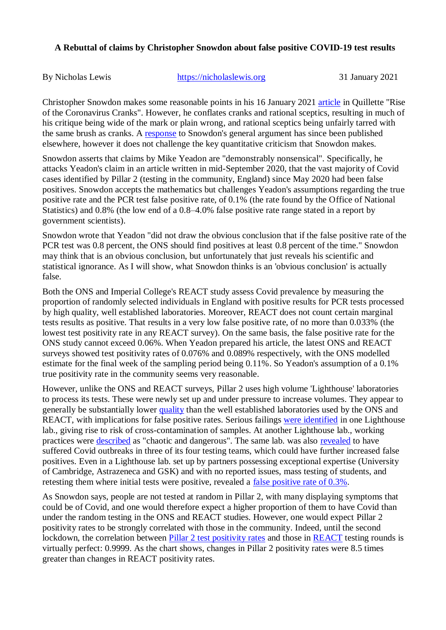## **A Rebuttal of claims by Christopher Snowdon about false positive COVID-19 test results**

By Nicholas Lewis [https://nicholaslewis.org](https://nicholaslewis.org/) 31 January 2021

Christopher Snowdon makes some reasonable points in his 16 January 2021 [article](https://quillette.com/2021/01/16/rise-of-the-coronavirus-cranks/) in Quillette "Rise of the Coronavirus Cranks". However, he conflates cranks and rational sceptics, resulting in much of his critique being wide of the mark or plain wrong, and rational sceptics being unfairly tarred with the same brush as cranks. A [response](https://lockdownsceptics.org/progressing-the-debate-an-observation-on-christopher-snowdens-quillette-article/) to Snowdon's general argument has since been published elsewhere, however it does not challenge the key quantitative criticism that Snowdon makes.

Snowdon asserts that claims by Mike Yeadon are "demonstrably nonsensical". Specifically, he attacks Yeadon's claim in an article written in mid-September 2020, that the vast majority of Covid cases [identified by Pillar 2](https://www.gov.uk/government/publications/coronavirus-covid-19-testing-data-methodology/covid-19-testing-data-methodology-note) (testing in the community, England) since May 2020 had been false positives. Snowdon accepts the mathematics but challenges Yeadon's assumptions regarding the true positive rate and the PCR test false positive rate, of 0.1% (the rate found by the Office of National Statistics) and 0.8% (the low end of a 0.8–4.0% false positive rate range stated in a report by government scientists).

Snowdon wrote that Yeadon "did not draw the obvious conclusion that if the false positive rate of the PCR test was 0.8 percent, the ONS should find positives at least 0.8 percent of the time." Snowdon may think that is an obvious conclusion, but unfortunately that just reveals his scientific and statistical ignorance. As I will show, what Snowdon thinks is an 'obvious conclusion' is actually false.

Both the ONS and Imperial College's REACT study assess Covid prevalence by measuring the proportion of randomly selected individuals in England with positive results for PCR tests processed by high quality, well established laboratories. Moreover, REACT does not count certain marginal tests results as positive. That results in a very low false positive rate, of no more than 0.033% (the lowest test positivity rate in any REACT survey). On the same basis, the false positive rate for the ONS study cannot exceed 0.06%. When Yeadon prepared his article, the latest ONS and REACT surveys showed test positivity rates of 0.076% and 0.089% respectively, with the ONS modelled estimate for the final week of the sampling period being 0.11%. So Yeadon's assumption of a 0.1% true positivity rate in the community seems very reasonable.

However, unlike the ONS and REACT surveys, Pillar 2 uses high volume 'Lighthouse' laboratories to process its tests. These were newly set up and under pressure to increase volumes. They appear to generally be substantially lower [quality](https://www.dailymail.co.uk/news/article-8746663/Chaos-Britains-Covid-labs-Scientist-lifts-lid-government-facilities.html) than the well established laboratories used by the ONS and REACT, with implications for false positive rates. Serious failings [were identified](https://origin-corporate.channel4.com/press/news/dispatches-uncovers-serious-failings-one-uks-largest-covid-testing-labs) in one Lighthouse lab., giving rise to risk of cross-contamination of samples. At another Lighthouse lab., working practices were [described](https://www.bbc.co.uk/news/health-54552620) as "chaotic and dangerous". The same lab. was also [revealed](https://news.sky.com/story/covid-19-major-uk-testing-lab-suffers-coronavirus-outbreak-after-claims-of-safety-breaches-12172290) to have suffered Covid outbreaks in three of its four testing teams, which could have further increased false positives. Even in a Lighthouse lab. set up by partners possessing exceptional expertise (University of Cambridge, Astrazeneca and GSK) and with no reported issues, mass testing of students, and retesting them where initial tests were positive, revealed a [false positive rate of 0.3%.](https://www.cam.ac.uk/sites/www.cam.ac.uk/files/documents/pooled_testing_report_30nov-6dec.pdf)

As Snowdon says, people are not tested at random in Pillar 2, with many displaying symptoms that could be of Covid, and one would therefore expect a higher proportion of them to have Covid than under the random testing in the ONS and REACT studies. However, one would expect Pillar 2 positivity rates to be strongly correlated with those in the community. Indeed, until the second lockdown, the correlation between [Pillar 2 test positivity rates](https://assets.publishing.service.gov.uk/government/uploads/system/uploads/attachment_data/file/952242/p2_tests_conducted_w32.ods) and those in [REACT](https://spiral.imperial.ac.uk/handle/10044/1/84879) testing rounds is virtually perfect: 0.9999. As the chart shows, changes in Pillar 2 positivity rates were 8.5 times greater than changes in REACT positivity rates.